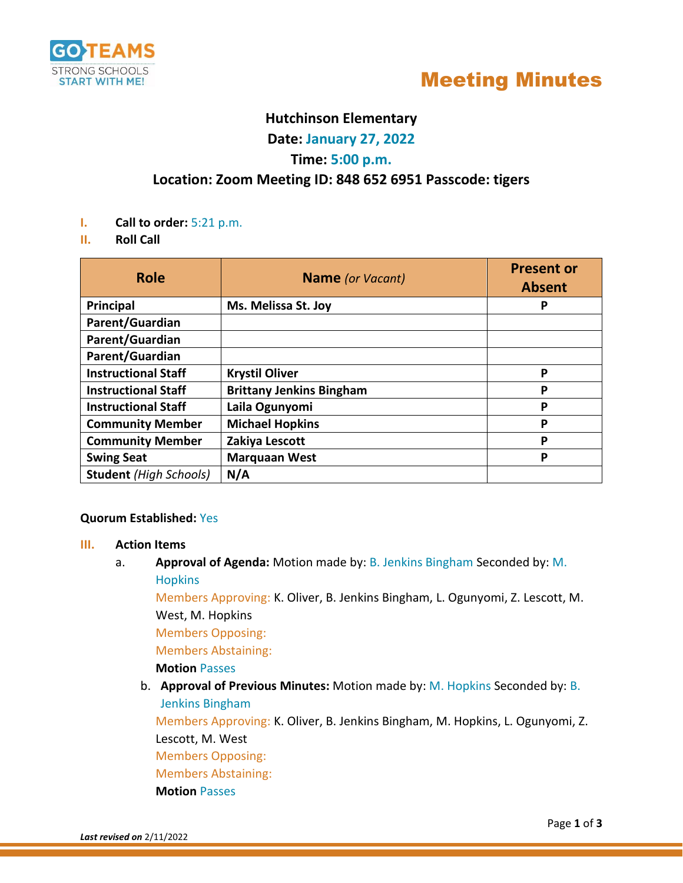

# Meeting Minutes

## **Hutchinson Elementary**

**Date: January 27, 2022**

## **Time: 5:00 p.m.**

## **Location: Zoom Meeting ID: 848 652 6951 Passcode: tigers**

- **I. Call to order:** 5:21 p.m.
- **II. Roll Call**

| <b>Role</b>                   | <b>Name</b> (or Vacant)         | <b>Present or</b><br><b>Absent</b> |
|-------------------------------|---------------------------------|------------------------------------|
| <b>Principal</b>              | Ms. Melissa St. Joy             | P                                  |
| Parent/Guardian               |                                 |                                    |
| Parent/Guardian               |                                 |                                    |
| Parent/Guardian               |                                 |                                    |
| <b>Instructional Staff</b>    | <b>Krystil Oliver</b>           | P                                  |
| <b>Instructional Staff</b>    | <b>Brittany Jenkins Bingham</b> | P                                  |
| <b>Instructional Staff</b>    | Laila Ogunyomi                  | P                                  |
| <b>Community Member</b>       | <b>Michael Hopkins</b>          | P                                  |
| <b>Community Member</b>       | Zakiya Lescott                  | P                                  |
| <b>Swing Seat</b>             | <b>Marquaan West</b>            | P                                  |
| <b>Student</b> (High Schools) | N/A                             |                                    |

#### **Quorum Established:** Yes

#### **III. Action Items**

a. **Approval of Agenda:** Motion made by: B. Jenkins Bingham Seconded by: M. **Hopkins** 

Members Approving: K. Oliver, B. Jenkins Bingham, L. Ogunyomi, Z. Lescott, M. West, M. Hopkins

Members Opposing:

Members Abstaining:

#### **Motion** Passes

b. **Approval of Previous Minutes:** Motion made by: M. Hopkins Seconded by: B. Jenkins Bingham

Members Approving: K. Oliver, B. Jenkins Bingham, M. Hopkins, L. Ogunyomi, Z. Lescott, M. West

Members Opposing:

Members Abstaining:

**Motion** Passes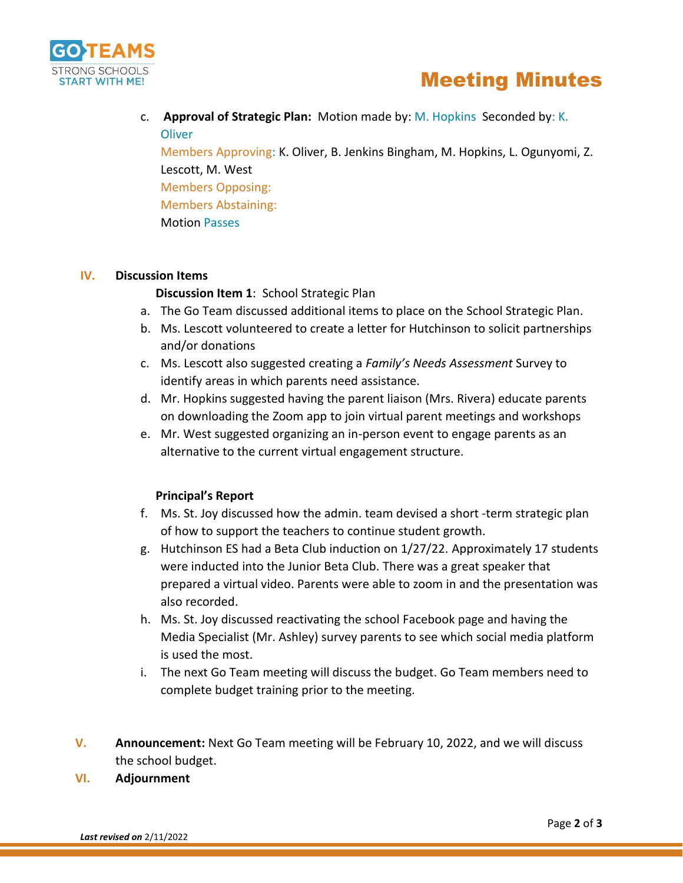

# Meeting Minutes

c. **Approval of Strategic Plan:** Motion made by: M. Hopkins Seconded by: K. **Oliver** 

Members Approving: K. Oliver, B. Jenkins Bingham, M. Hopkins, L. Ogunyomi, Z. Lescott, M. West Members Opposing: Members Abstaining: Motion Passes

#### **IV. Discussion Items**

### **Discussion Item 1**: School Strategic Plan

- a. The Go Team discussed additional items to place on the School Strategic Plan.
- b. Ms. Lescott volunteered to create a letter for Hutchinson to solicit partnerships and/or donations
- c. Ms. Lescott also suggested creating a *Family's Needs Assessment* Survey to identify areas in which parents need assistance.
- d. Mr. Hopkins suggested having the parent liaison (Mrs. Rivera) educate parents on downloading the Zoom app to join virtual parent meetings and workshops
- e. Mr. West suggested organizing an in-person event to engage parents as an alternative to the current virtual engagement structure.

### **Principal's Report**

- f. Ms. St. Joy discussed how the admin. team devised a short -term strategic plan of how to support the teachers to continue student growth.
- g. Hutchinson ES had a Beta Club induction on 1/27/22. Approximately 17 students were inducted into the Junior Beta Club. There was a great speaker that prepared a virtual video. Parents were able to zoom in and the presentation was also recorded.
- h. Ms. St. Joy discussed reactivating the school Facebook page and having the Media Specialist (Mr. Ashley) survey parents to see which social media platform is used the most.
- i. The next Go Team meeting will discuss the budget. Go Team members need to complete budget training prior to the meeting.
- **V. Announcement:** Next Go Team meeting will be February 10, 2022, and we will discuss the school budget.

#### **VI. Adjournment**